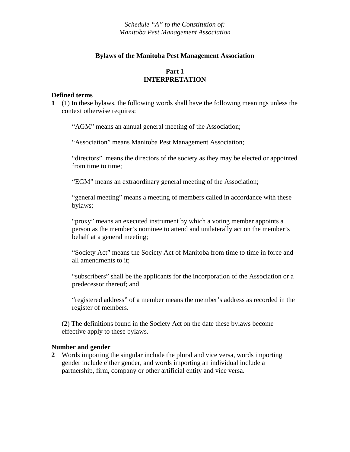*Schedule "A" to the Constitution of: Manitoba Pest Management Association* 

### **Bylaws of the Manitoba Pest Management Association**

## **Part 1 INTERPRETATION**

#### **Defined terms**

**1** (1) In these bylaws, the following words shall have the following meanings unless the context otherwise requires:

"AGM" means an annual general meeting of the Association;

"Association" means Manitoba Pest Management Association;

"directors" means the directors of the society as they may be elected or appointed from time to time;

"EGM" means an extraordinary general meeting of the Association;

"general meeting" means a meeting of members called in accordance with these bylaws;

"proxy" means an executed instrument by which a voting member appoints a person as the member's nominee to attend and unilaterally act on the member's behalf at a general meeting;

"Society Act" means the Society Act of Manitoba from time to time in force and all amendments to it;

"subscribers" shall be the applicants for the incorporation of the Association or a predecessor thereof; and

"registered address" of a member means the member's address as recorded in the register of members.

(2) The definitions found in the Society Act on the date these bylaws become effective apply to these bylaws.

#### **Number and gender**

**2** Words importing the singular include the plural and vice versa, words importing gender include either gender, and words importing an individual include a partnership, firm, company or other artificial entity and vice versa.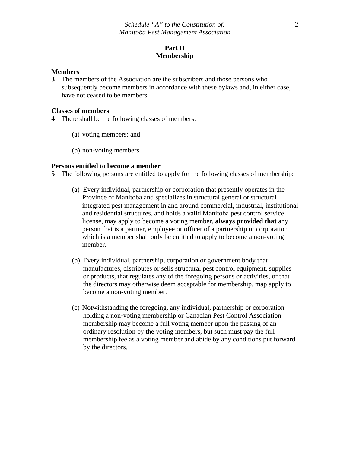## **Part II Membership**

#### **Members**

**3** The members of the Association are the subscribers and those persons who subsequently become members in accordance with these bylaws and, in either case, have not ceased to be members.

#### **Classes of members**

- **4** There shall be the following classes of members:
	- (a) voting members; and
	- (b) non-voting members

### **Persons entitled to become a member**

**5** The following persons are entitled to apply for the following classes of membership:

- (a) Every individual, partnership or corporation that presently operates in the Province of Manitoba and specializes in structural general or structural integrated pest management in and around commercial, industrial, institutional and residential structures, and holds a valid Manitoba pest control service license, may apply to become a voting member, **always provided that** any person that is a partner, employee or officer of a partnership or corporation which is a member shall only be entitled to apply to become a non-voting member.
- (b) Every individual, partnership, corporation or government body that manufactures, distributes or sells structural pest control equipment, supplies or products, that regulates any of the foregoing persons or activities, or that the directors may otherwise deem acceptable for membership, map apply to become a non-voting member.
- (c) Notwithstanding the foregoing, any individual, partnership or corporation holding a non-voting membership or Canadian Pest Control Association membership may become a full voting member upon the passing of an ordinary resolution by the voting members, but such must pay the full membership fee as a voting member and abide by any conditions put forward by the directors.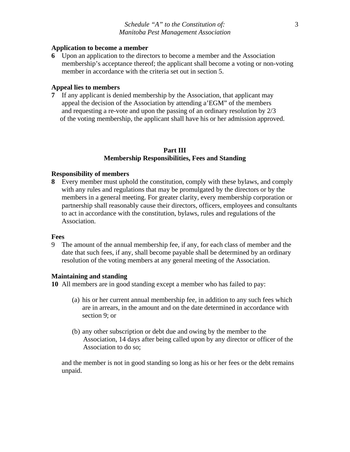### **Application to become a member**

**6** Upon an application to the directors to become a member and the Association membership's acceptance thereof; the applicant shall become a voting or non-voting member in accordance with the criteria set out in section 5.

## **Appeal lies to members**

**7** If any applicant is denied membership by the Association, that applicant may appeal the decision of the Association by attending a'EGM" of the members and requesting a re-vote and upon the passing of an ordinary resolution by 2/3 of the voting membership, the applicant shall have his or her admission approved.

## **Part III Membership Responsibilities, Fees and Standing**

## **Responsibility of members**

**8** Every member must uphold the constitution, comply with these bylaws, and comply with any rules and regulations that may be promulgated by the directors or by the members in a general meeting. For greater clarity, every membership corporation or partnership shall reasonably cause their directors, officers, employees and consultants to act in accordance with the constitution, bylaws, rules and regulations of the Association.

## **Fees**

9 The amount of the annual membership fee, if any, for each class of member and the date that such fees, if any, shall become payable shall be determined by an ordinary resolution of the voting members at any general meeting of the Association.

## **Maintaining and standing**

**10** All members are in good standing except a member who has failed to pay:

- (a) his or her current annual membership fee, in addition to any such fees which are in arrears, in the amount and on the date determined in accordance with section 9; or
- (b) any other subscription or debt due and owing by the member to the Association, 14 days after being called upon by any director or officer of the Association to do so;

 and the member is not in good standing so long as his or her fees or the debt remains unpaid.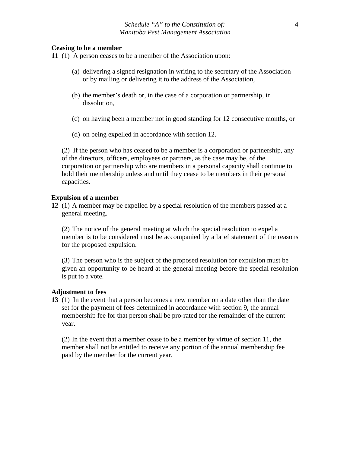### **Ceasing to be a member**

**11** (1) A person ceases to be a member of the Association upon:

- (a) delivering a signed resignation in writing to the secretary of the Association or by mailing or delivering it to the address of the Association,
- (b) the member's death or, in the case of a corporation or partnership, in dissolution,
- (c) on having been a member not in good standing for 12 consecutive months, or
- (d) on being expelled in accordance with section 12.

 (2) If the person who has ceased to be a member is a corporation or partnership, any of the directors, officers, employees or partners, as the case may be, of the corporation or partnership who are members in a personal capacity shall continue to hold their membership unless and until they cease to be members in their personal capacities.

## **Expulsion of a member**

**12** (1) A member may be expelled by a special resolution of the members passed at a general meeting.

(2) The notice of the general meeting at which the special resolution to expel a member is to be considered must be accompanied by a brief statement of the reasons for the proposed expulsion.

(3) The person who is the subject of the proposed resolution for expulsion must be given an opportunity to be heard at the general meeting before the special resolution is put to a vote.

## **Adjustment to fees**

**13** (1) In the event that a person becomes a new member on a date other than the date set for the payment of fees determined in accordance with section 9, the annual membership fee for that person shall be pro-rated for the remainder of the current year.

(2) In the event that a member cease to be a member by virtue of section 11, the member shall not be entitled to receive any portion of the annual membership fee paid by the member for the current year.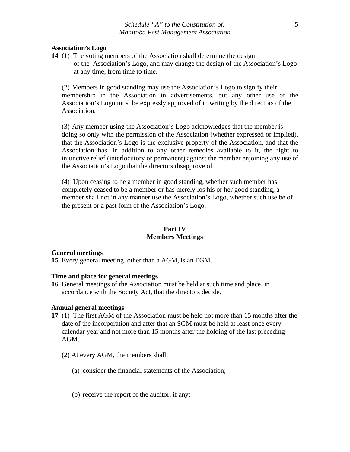#### **Association's Logo**

**14** (1) The voting members of the Association shall determine the design of the Association's Logo, and may change the design of the Association's Logo at any time, from time to time.

(2) Members in good standing may use the Association's Logo to signify their membership in the Association in advertisements, but any other use of the Association's Logo must be expressly approved of in writing by the directors of the Association.

(3) Any member using the Association's Logo acknowledges that the member is doing so only with the permission of the Association (whether expressed or implied), that the Association's Logo is the exclusive property of the Association, and that the Association has, in addition to any other remedies available to it, the right to injunctive relief (interlocutory or permanent) against the member enjoining any use of the Association's Logo that the directors disapprove of.

 (4) Upon ceasing to be a member in good standing, whether such member has completely ceased to be a member or has merely los his or her good standing, a member shall not in any manner use the Association's Logo, whether such use be of the present or a past form of the Association's Logo.

## **Part IV Members Meetings**

#### **General meetings**

**15** Every general meeting, other than a AGM, is an EGM.

### **Time and place for general meetings**

**16** General meetings of the Association must be held at such time and place, in accordance with the Society Act, that the directors decide.

### **Annual general meetings**

- **17** (1) The first AGM of the Association must be held not more than 15 months after the date of the incorporation and after that an SGM must be held at least once every calendar year and not more than 15 months after the holding of the last preceding AGM.
	- (2) At every AGM, the members shall:
		- (a) consider the financial statements of the Association;
		- (b) receive the report of the auditor, if any;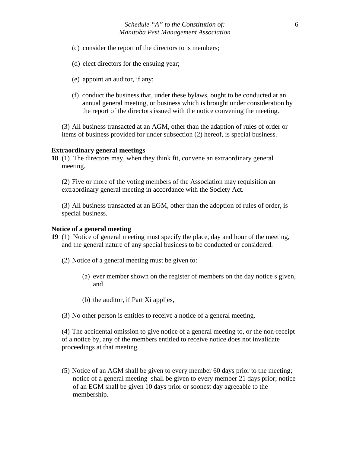- (c) consider the report of the directors to is members;
- (d) elect directors for the ensuing year;
- (e) appoint an auditor, if any;
- (f) conduct the business that, under these bylaws, ought to be conducted at an annual general meeting, or business which is brought under consideration by the report of the directors issued with the notice convening the meeting.

(3) All business transacted at an AGM, other than the adaption of rules of order or items of business provided for under subsection (2) hereof, is special business.

### **Extraordinary general meetings**

**18** (1) The directors may, when they think fit, convene an extraordinary general meeting.

(2) Five or more of the voting members of the Association may requisition an extraordinary general meeting in accordance with the Society Act.

(3) All business transacted at an EGM, other than the adoption of rules of order, is special business.

#### **Notice of a general meeting**

- **19** (1) Notice of general meeting must specify the place, day and hour of the meeting, and the general nature of any special business to be conducted or considered.
	- (2) Notice of a general meeting must be given to:
		- (a) ever member shown on the register of members on the day notice s given, and
		- (b) the auditor, if Part Xi applies,

(3) No other person is entitles to receive a notice of a general meeting.

(4) The accidental omission to give notice of a general meeting to, or the non-receipt of a notice by, any of the members entitled to receive notice does not invalidate proceedings at that meeting.

(5) Notice of an AGM shall be given to every member 60 days prior to the meeting; notice of a general meeting shall be given to every member 21 days prior; notice of an EGM shall be given 10 days prior or soonest day agreeable to the membership.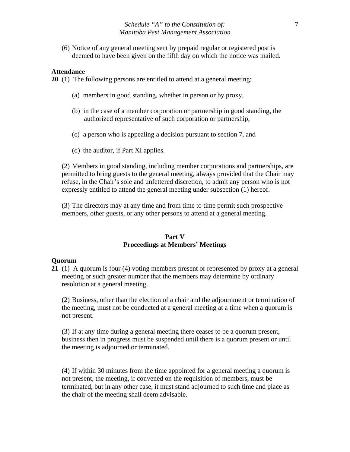(6) Notice of any general meeting sent by prepaid regular or registered post is deemed to have been given on the fifth day on which the notice was mailed.

#### **Attendance**

**20** (1) The following persons are entitled to attend at a general meeting:

- (a) members in good standing, whether in person or by proxy,
- (b) in the case of a member corporation or partnership in good standing, the authorized representative of such corporation or partnership,
- (c) a person who is appealing a decision pursuant to section 7, and
- (d) the auditor, if Part XI applies.

(2) Members in good standing, including member corporations and partnerships, are permitted to bring guests to the general meeting, always provided that the Chair may refuse, in the Chair's sole and unfettered discretion, to admit any person who is not expressly entitled to attend the general meeting under subsection (1) hereof.

(3) The directors may at any time and from time to time permit such prospective members, other guests, or any other persons to attend at a general meeting.

### **Part V Proceedings at Members' Meetings**

#### **Quorum**

**21** (1) A quorum is four (4) voting members present or represented by proxy at a general meeting or such greater number that the members may determine by ordinary resolution at a general meeting.

(2) Business, other than the election of a chair and the adjournment or termination of the meeting, must not be conducted at a general meeting at a time when a quorum is not present.

(3) If at any time during a general meeting there ceases to be a quorum present, business then in progress must be suspended until there is a quorum present or until the meeting is adjourned or terminated.

(4) If within 30 minutes from the time appointed for a general meeting a quorum is not present, the meeting, if convened on the requisition of members, must be terminated, but in any other case, it must stand adjourned to such time and place as the chair of the meeting shall deem advisable.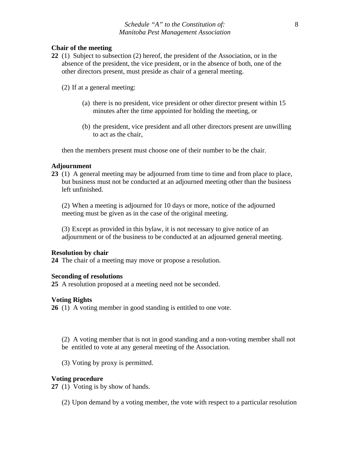### **Chair of the meeting**

**22** (1) Subject to subsection (2) hereof, the president of the Association, or in the absence of the president, the vice president, or in the absence of both, one of the other directors present, must preside as chair of a general meeting.

(2) If at a general meeting:

- (a) there is no president, vice president or other director present within 15 minutes after the time appointed for holding the meeting, or
- (b) the president, vice president and all other directors present are unwilling to act as the chair,

then the members present must choose one of their number to be the chair.

### **Adjournment**

**23** (1) A general meeting may be adjourned from time to time and from place to place, but business must not be conducted at an adjourned meeting other than the business left unfinished.

(2) When a meeting is adjourned for 10 days or more, notice of the adjourned meeting must be given as in the case of the original meeting.

(3) Except as provided in this bylaw, it is not necessary to give notice of an adjournment or of the business to be conducted at an adjourned general meeting.

#### **Resolution by chair**

**24** The chair of a meeting may move or propose a resolution.

#### **Seconding of resolutions**

**25** A resolution proposed at a meeting need not be seconded.

#### **Voting Rights**

**26** (1) A voting member in good standing is entitled to one vote.

- (2) A voting member that is not in good standing and a non-voting member shall not be entitled to vote at any general meeting of the Association.
- (3) Voting by proxy is permitted.

### **Voting procedure**

**27** (1)Voting is by show of hands.

(2) Upon demand by a voting member, the vote with respect to a particular resolution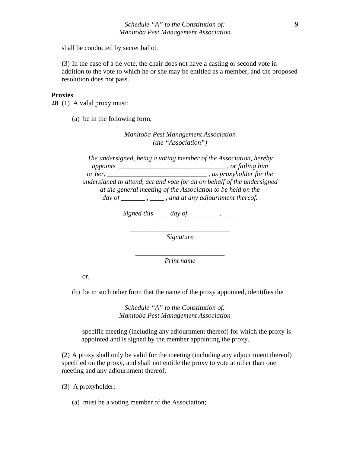shall be conducted by secret ballot.

(3) In the case of a tie vote, the chair does not have a casting or second vote in addition to the vote to which he or she may be entitled as a member, and the proposed resolution does not pass.

#### **Proxies**

**28** (1)A valid proxy must:

(a) be in the following form,

*Manitoba Pest Management Association (the "Association")* 

*The undersigned, being a voting member of the Association, hereby appoints \_\_\_\_\_\_\_\_\_\_\_\_\_\_\_\_\_\_\_\_\_\_\_\_\_\_\_\_\_\_\_ , or failing him or her, \_\_\_\_\_\_\_\_\_\_\_\_\_\_\_\_\_\_\_\_\_\_\_\_\_\_\_\_\_ , as proxyholder for the undersigned to attend, act and vote for an on behalf of the undersigned at the general meeting of the Association to be held on the day of \_\_\_\_\_\_\_ , \_\_\_\_ , and at any adjournment thereof.* 

*Signed this \_\_\_\_ day of \_\_\_\_\_\_\_* , \_\_\_

*\_\_\_\_\_\_\_\_\_\_\_\_\_\_\_\_\_\_\_\_\_\_\_\_\_\_\_\_\_ Signature*

*\_\_\_\_\_\_\_\_\_\_\_\_\_\_\_\_\_\_\_\_\_\_\_\_\_\_ Print name* 

or,

(b) be in such other form that the name of the proxy appointed, identifies the

*Schedule "A" to the Constitution of: Manitoba Pest Management Association* 

 specific meeting (including any adjournment thereof) for which the proxy is appointed and is signed by the member appointing the proxy.

(2) A proxy shall only be valid for the meeting (including any adjournment thereof) specified on the proxy, and shall not entitle the proxy to vote at other than one meeting and any adjournment thereof.

(3) A proxyholder:

(a) must be a voting member of the Association;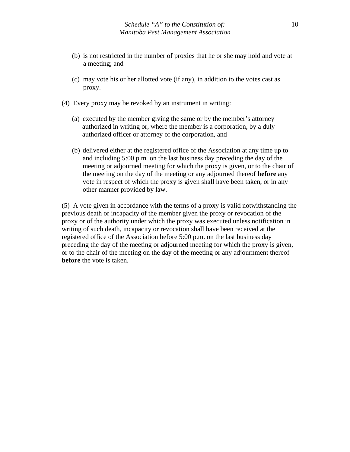- (b) is not restricted in the number of proxies that he or she may hold and vote at a meeting; and
- (c) may vote his or her allotted vote (if any), in addition to the votes cast as proxy.
- (4) Every proxy may be revoked by an instrument in writing:
	- (a) executed by the member giving the same or by the member's attorney authorized in writing or, where the member is a corporation, by a duly authorized officer or attorney of the corporation, and
	- (b) delivered either at the registered office of the Association at any time up to and including 5:00 p.m. on the last business day preceding the day of the meeting or adjourned meeting for which the proxy is given, or to the chair of the meeting on the day of the meeting or any adjourned thereof **before** any vote in respect of which the proxy is given shall have been taken, or in any other manner provided by law.

(5) A vote given in accordance with the terms of a proxy is valid notwithstanding the previous death or incapacity of the member given the proxy or revocation of the proxy or of the authority under which the proxy was executed unless notification in writing of such death, incapacity or revocation shall have been received at the registered office of the Association before 5:00 p.m. on the last business day preceding the day of the meeting or adjourned meeting for which the proxy is given, or to the chair of the meeting on the day of the meeting or any adjournment thereof **before** the vote is taken.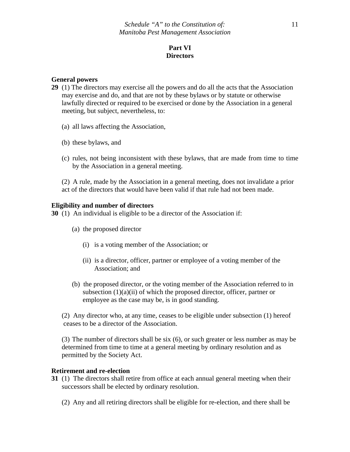# **Part VI Directors**

### **General powers**

- **29** (1) The directors may exercise all the powers and do all the acts that the Association may exercise and do, and that are not by these bylaws or by statute or otherwise lawfully directed or required to be exercised or done by the Association in a general meeting, but subject, nevertheless, to:
	- (a) all laws affecting the Association,
	- (b) these bylaws, and
	- (c) rules, not being inconsistent with these bylaws, that are made from time to time by the Association in a general meeting.
	- (2) A rule, made by the Association in a general meeting, does not invalidate a prior act of the directors that would have been valid if that rule had not been made.

### **Eligibility and number of directors**

**30** (1) An individual is eligible to be a director of the Association if:

- (a) the proposed director
	- (i) is a voting member of the Association; or
	- (ii) is a director, officer, partner or employee of a voting member of the Association; and
- (b) the proposed director, or the voting member of the Association referred to in subsection  $(1)(a)(ii)$  of which the proposed director, officer, partner or employee as the case may be, is in good standing.

 (2) Any director who, at any time, ceases to be eligible under subsection (1) hereof ceases to be a director of the Association.

(3) The number of directors shall be six (6), or such greater or less number as may be determined from time to time at a general meeting by ordinary resolution and as permitted by the Society Act.

### **Retirement and re-election**

- **31** (1) The directors shall retire from office at each annual general meeting when their successors shall be elected by ordinary resolution.
	- (2) Any and all retiring directors shall be eligible for re-election, and there shall be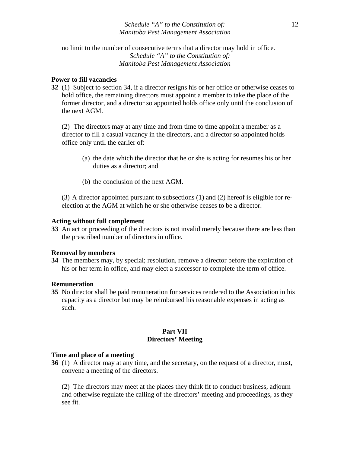### *Schedule "A" to the Constitution of: Manitoba Pest Management Association*

 no limit to the number of consecutive terms that a director may hold in office. *Schedule "A" to the Constitution of: Manitoba Pest Management Association* 

## **Power to fill vacancies**

**32** (1) Subject to section 34, if a director resigns his or her office or otherwise ceases to hold office, the remaining directors must appoint a member to take the place of the former director, and a director so appointed holds office only until the conclusion of the next AGM.

(2) The directors may at any time and from time to time appoint a member as a director to fill a casual vacancy in the directors, and a director so appointed holds office only until the earlier of:

- (a) the date which the director that he or she is acting for resumes his or her duties as a director; and
- (b) the conclusion of the next AGM.

(3) A director appointed pursuant to subsections (1) and (2) hereof is eligible for reelection at the AGM at which he or she otherwise ceases to be a director.

### **Acting without full complement**

**33** An act or proceeding of the directors is not invalid merely because there are less than the prescribed number of directors in office.

## **Removal by members**

**34** The members may, by special; resolution, remove a director before the expiration of his or her term in office, and may elect a successor to complete the term of office.

#### **Remuneration**

**35** No director shall be paid remuneration for services rendered to the Association in his capacity as a director but may be reimbursed his reasonable expenses in acting as such.

## **Part VII Directors' Meeting**

#### **Time and place of a meeting**

**36** (1) A director may at any time, and the secretary, on the request of a director, must, convene a meeting of the directors.

(2) The directors may meet at the places they think fit to conduct business, adjourn and otherwise regulate the calling of the directors' meeting and proceedings, as they see fit.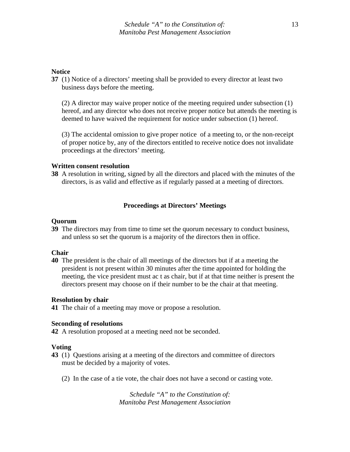### **Notice**

**37** (1) Notice of a directors' meeting shall be provided to every director at least two business days before the meeting.

 (2) A director may waive proper notice of the meeting required under subsection (1) hereof, and any director who does not receive proper notice but attends the meeting is deemed to have waived the requirement for notice under subsection (1) hereof.

 (3) The accidental omission to give proper notice of a meeting to, or the non-receipt of proper notice by, any of the directors entitled to receive notice does not invalidate proceedings at the directors' meeting.

#### **Written consent resolution**

**38** A resolution in writing, signed by all the directors and placed with the minutes of the directors, is as valid and effective as if regularly passed at a meeting of directors.

## **Proceedings at Directors' Meetings**

#### **Quorum**

**39** The directors may from time to time set the quorum necessary to conduct business, and unless so set the quorum is a majority of the directors then in office.

#### **Chair**

**40** The president is the chair of all meetings of the directors but if at a meeting the president is not present within 30 minutes after the time appointed for holding the meeting, the vice president must ac t as chair, but if at that time neither is present the directors present may choose on if their number to be the chair at that meeting.

#### **Resolution by chair**

**41** The chair of a meeting may move or propose a resolution.

### **Seconding of resolutions**

**42** A resolution proposed at a meeting need not be seconded.

## **Voting**

- **43** (1) Questions arising at a meeting of the directors and committee of directors must be decided by a majority of votes.
	- (2) In the case of a tie vote, the chair does not have a second or casting vote.

*Schedule "A" to the Constitution of: Manitoba Pest Management Association*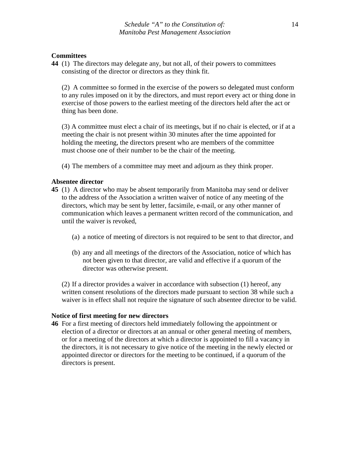### **Committees**

**44** (1) The directors may delegate any, but not all, of their powers to committees consisting of the director or directors as they think fit.

 (2) A committee so formed in the exercise of the powers so delegated must conform to any rules imposed on it by the directors, and must report every act or thing done in exercise of those powers to the earliest meeting of the directors held after the act or thing has been done.

(3) A committee must elect a chair of its meetings, but if no chair is elected, or if at a meeting the chair is not present within 30 minutes after the time appointed for holding the meeting, the directors present who are members of the committee must choose one of their number to be the chair of the meeting.

(4) The members of a committee may meet and adjourn as they think proper.

#### **Absentee director**

- **45** (1) A director who may be absent temporarily from Manitoba may send or deliver to the address of the Association a written waiver of notice of any meeting of the directors, which may be sent by letter, facsimile, e-mail, or any other manner of communication which leaves a permanent written record of the communication, and until the waiver is revoked,
	- (a) a notice of meeting of directors is not required to be sent to that director, and
	- (b) any and all meetings of the directors of the Association, notice of which has not been given to that director, are valid and effective if a quorum of the director was otherwise present.

(2) If a director provides a waiver in accordance with subsection (1) hereof, any written consent resolutions of the directors made pursuant to section 38 while such a waiver is in effect shall not require the signature of such absentee director to be valid.

#### **Notice of first meeting for new directors**

**46** For a first meeting of directors held immediately following the appointment or election of a director or directors at an annual or other general meeting of members, or for a meeting of the directors at which a director is appointed to fill a vacancy in the directors, it is not necessary to give notice of the meeting in the newly elected or appointed director or directors for the meeting to be continued, if a quorum of the directors is present.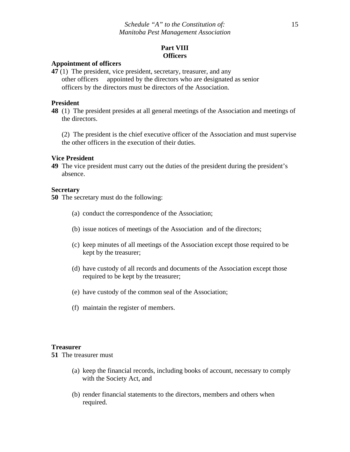# **Part VIII Officers**

#### **Appointment of officers**

**47** (1) The president, vice president, secretary, treasurer, and any other officers appointed by the directors who are designated as senior officers by the directors must be directors of the Association.

### **President**

**48** (1) The president presides at all general meetings of the Association and meetings of the directors.

 (2) The president is the chief executive officer of the Association and must supervise the other officers in the execution of their duties.

#### **Vice President**

**49** The vice president must carry out the duties of the president during the president's absence.

#### **Secretary**

**50** The secretary must do the following:

- (a) conduct the correspondence of the Association;
- (b) issue notices of meetings of the Association and of the directors;
- (c) keep minutes of all meetings of the Association except those required to be kept by the treasurer;
- (d) have custody of all records and documents of the Association except those required to be kept by the treasurer;
- (e) have custody of the common seal of the Association;
- (f) maintain the register of members.

#### **Treasurer**

**51** The treasurer must

- (a) keep the financial records, including books of account, necessary to comply with the Society Act, and
- (b) render financial statements to the directors, members and others when required.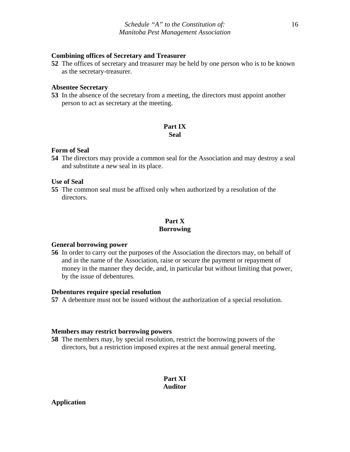#### **Combining offices of Secretary and Treasurer**

**52** The offices of secretary and treasurer may be held by one person who is to be known as the secretary-treasurer.

#### **Absentee Secretary**

**53** In the absence of the secretary from a meeting, the directors must appoint another person to act as secretary at the meeting.

### **Part IX Seal**

#### **Form of Seal**

**54** The directors may provide a common seal for the Association and may destroy a seal and substitute a new seal in its place.

### **Use of Seal**

**55** The common seal must be affixed only when authorized by a resolution of the directors.

## **Part X Borrowing**

#### **General borrowing power**

**56** In order to carry out the purposes of the Association the directors may, on behalf of and in the name of the Association, raise or secure the payment or repayment of money in the manner they decide, and, in particular but without limiting that power, by the issue of debentures.

#### **Debentures require special resolution**

**57** A debenture must not be issued without the authorization of a special resolution.

#### **Members may restrict borrowing powers**

**58** The members may, by special resolution, restrict the borrowing powers of the directors, but a restriction imposed expires at the next annual general meeting.

# **Part XI Auditor**

# **Application**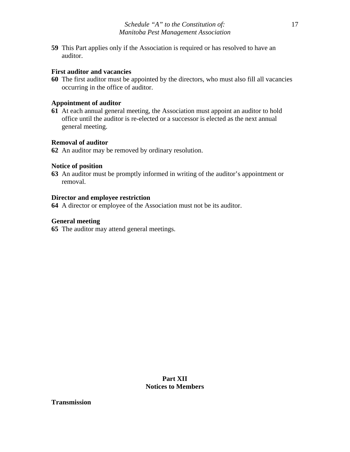**59** This Part applies only if the Association is required or has resolved to have an auditor.

### **First auditor and vacancies**

**60** The first auditor must be appointed by the directors, who must also fill all vacancies occurring in the office of auditor.

### **Appointment of auditor**

**61** At each annual general meeting, the Association must appoint an auditor to hold office until the auditor is re-elected or a successor is elected as the next annual general meeting.

## **Removal of auditor**

**62** An auditor may be removed by ordinary resolution.

### **Notice of position**

**63** An auditor must be promptly informed in writing of the auditor's appointment or removal.

## **Director and employee restriction**

**64** A director or employee of the Association must not be its auditor.

## **General meeting**

**65** The auditor may attend general meetings.